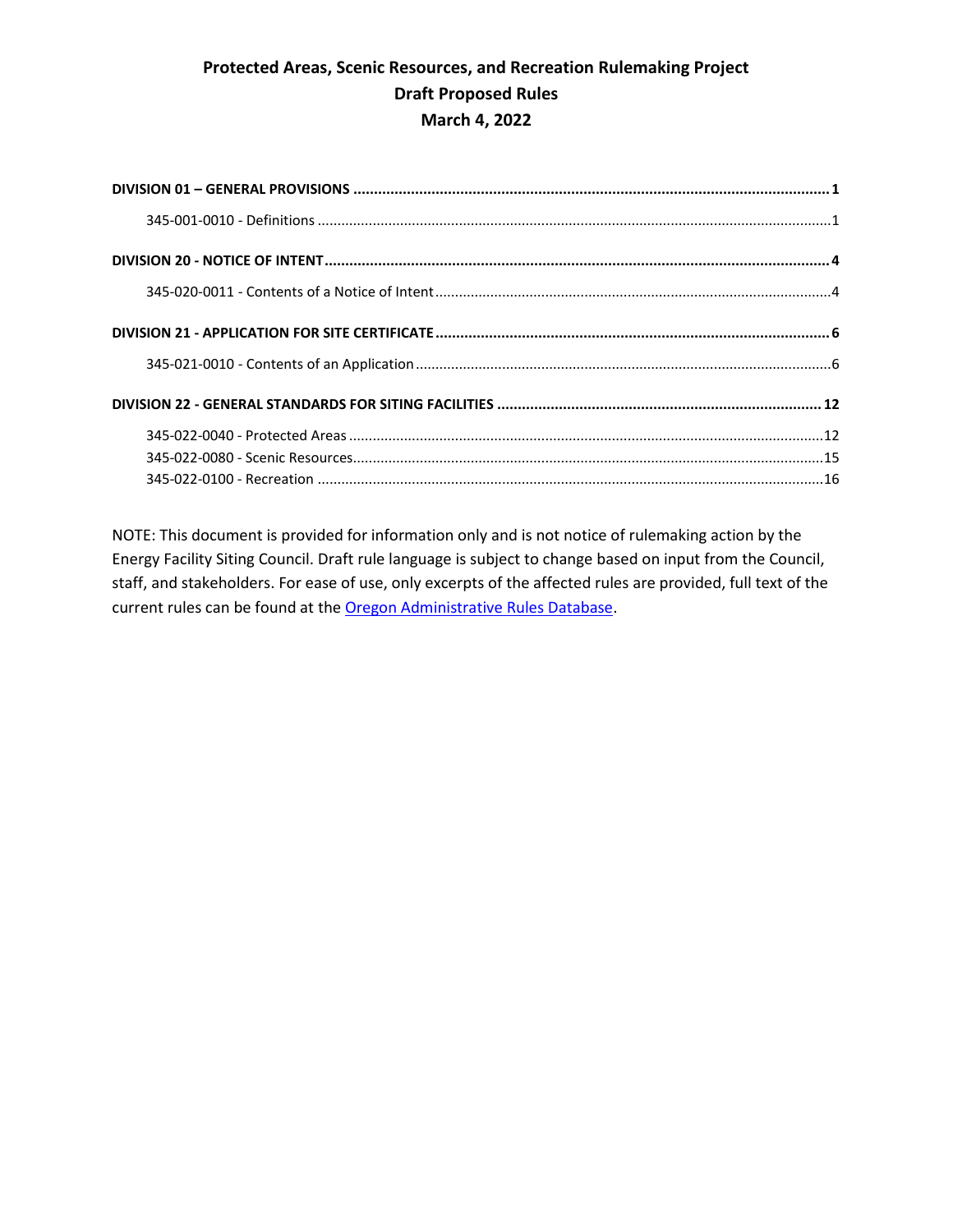NOTE: This document is provided for information only and is not notice of rulemaking action by the Energy Facility Siting Council. Draft rule language is subject to change based on input from the Council, staff, and stakeholders. For ease of use, only excerpts of the affected rules are provided, full text of the current rules can be found at th[e Oregon Administrative Rules Database.](https://secure.sos.state.or.us/oard/displayChapterRules.action?selectedChapter=79)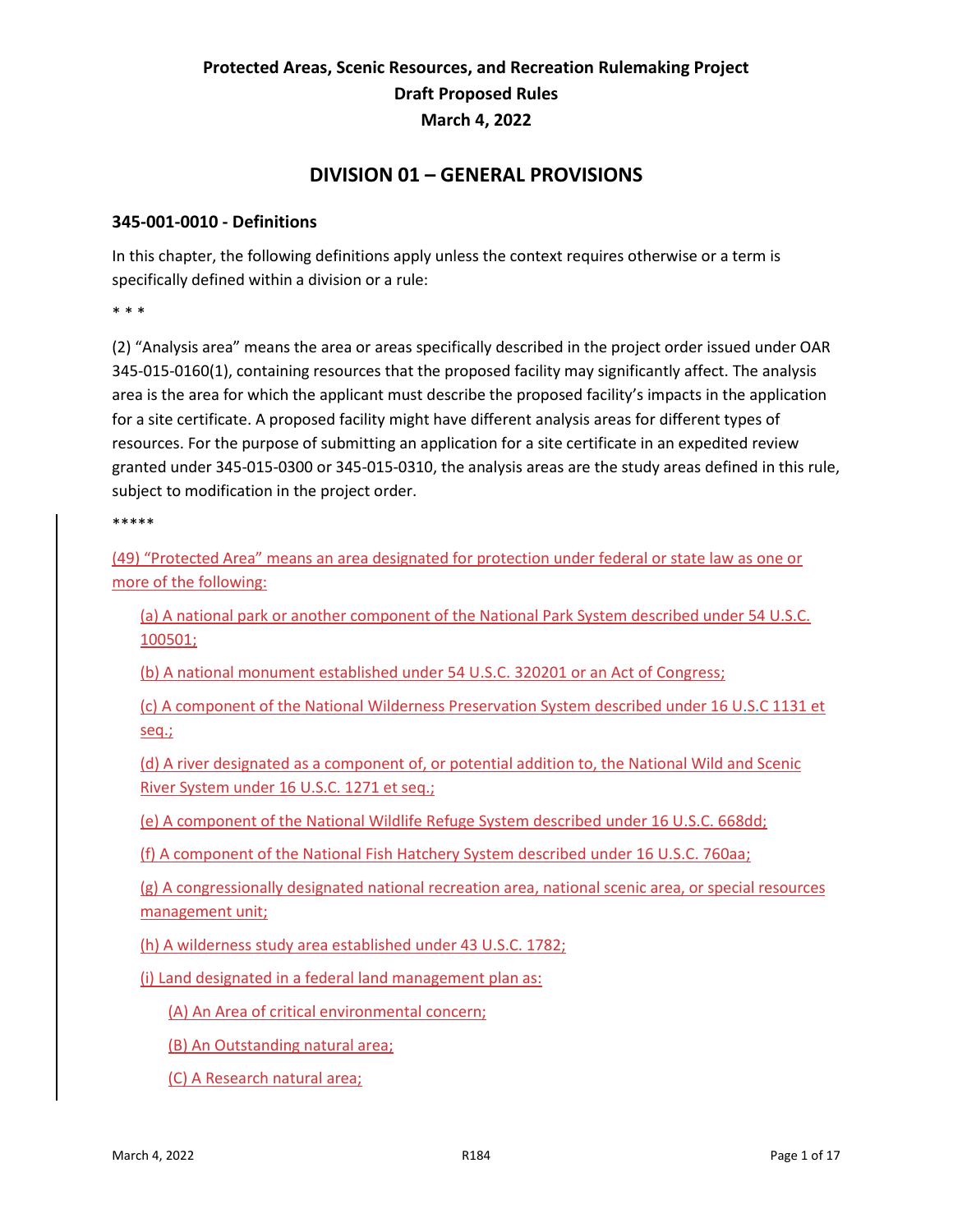#### **DIVISION 01 – GENERAL PROVISIONS**

#### <span id="page-1-1"></span><span id="page-1-0"></span>**345-001-0010 - Definitions**

In this chapter, the following definitions apply unless the context requires otherwise or a term is specifically defined within a division or a rule:

\* \* \*

(2) "Analysis area" means the area or areas specifically described in the project order issued under OAR 345-015-0160(1), containing resources that the proposed facility may significantly affect. The analysis area is the area for which the applicant must describe the proposed facility's impacts in the application for a site certificate. A proposed facility might have different analysis areas for different types of resources. For the purpose of submitting an application for a site certificate in an expedited review granted under 345-015-0300 or 345-015-0310, the analysis areas are the study areas defined in this rule, subject to modification in the project order.

\*\*\*\*\*

(49) "Protected Area" means an area designated for protection under federal or state law as one or more of the following:

(a) A national park or another component of the National Park System described under 54 U.S.C. 100501;

(b) A national monument established under 54 U.S.C. 320201 or an Act of Congress;

(c) A component of the National Wilderness Preservation System described under 16 U.S.C 1131 et seq.;

(d) A river designated as a component of, or potential addition to, the National Wild and Scenic River System under 16 U.S.C. 1271 et seq.;

(e) A component of the National Wildlife Refuge System described under 16 U.S.C. 668dd;

(f) A component of the National Fish Hatchery System described under 16 U.S.C. 760aa;

(g) A congressionally designated national recreation area, national scenic area, or special resources management unit;

(h) A wilderness study area established under 43 U.S.C. 1782;

(i) Land designated in a federal land management plan as:

(A) An Area of critical environmental concern;

(B) An Outstanding natural area;

(C) A Research natural area;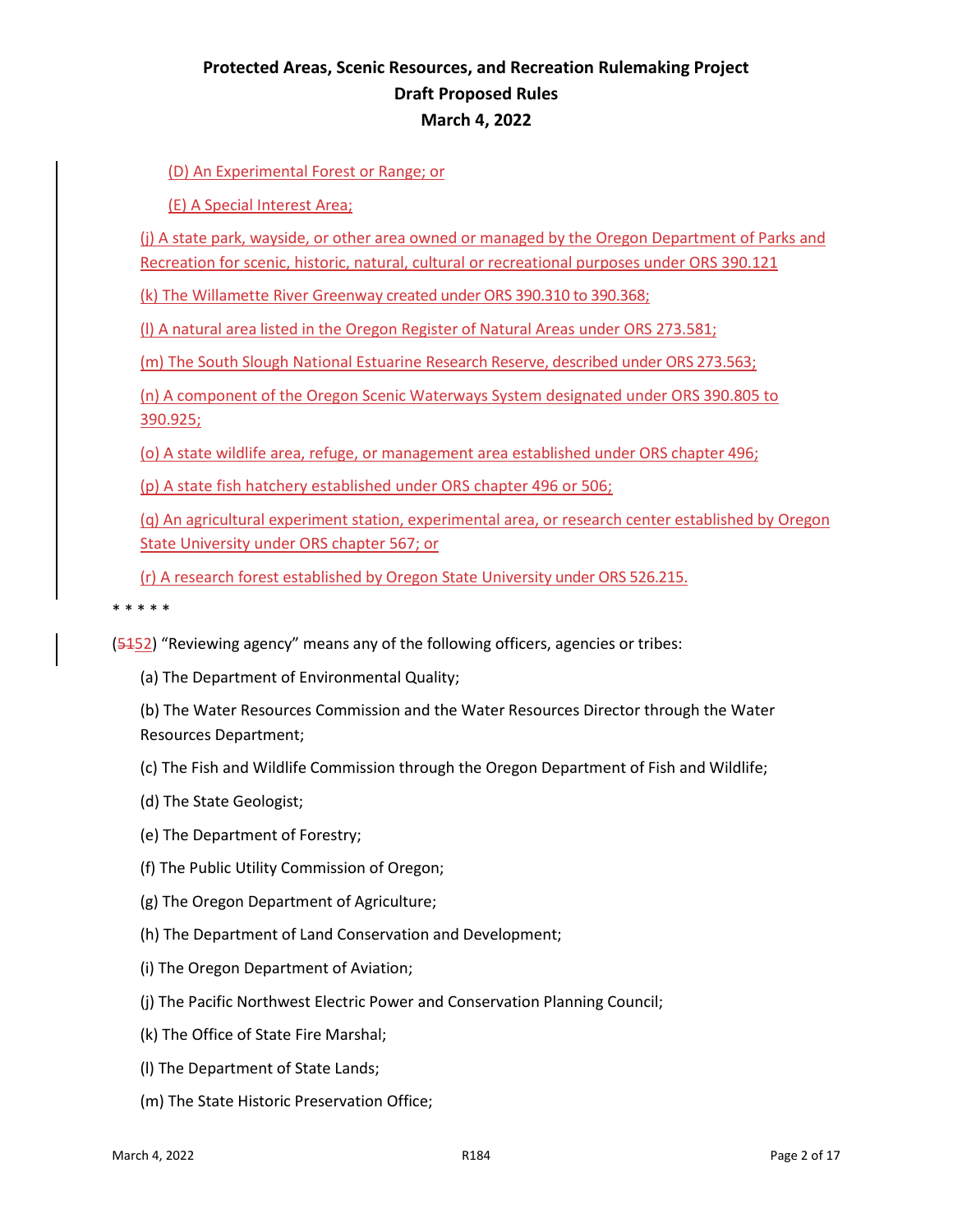(D) An Experimental Forest or Range; or

(E) A Special Interest Area;

(j) A state park, wayside, or other area owned or managed by the Oregon Department of Parks and Recreation for scenic, historic, natural, cultural or recreational purposes under ORS 390.121

(k) The Willamette River Greenway created under ORS 390.310 to 390.368;

(l) A natural area listed in the Oregon Register of Natural Areas under ORS 273.581;

(m) The South Slough National Estuarine Research Reserve, described under ORS 273.563;

(n) A component of the Oregon Scenic Waterways System designated under ORS 390.805 to 390.925;

(o) A state wildlife area, refuge, or management area established under ORS chapter 496;

(p) A state fish hatchery established under ORS chapter 496 or 506;

(q) An agricultural experiment station, experimental area, or research center established by Oregon State University under ORS chapter 567; or

(r) A research forest established by Oregon State University under ORS 526.215.

\* \* \* \* \*

(5152) "Reviewing agency" means any of the following officers, agencies or tribes:

(a) The Department of Environmental Quality;

(b) The Water Resources Commission and the Water Resources Director through the Water Resources Department;

- (c) The Fish and Wildlife Commission through the Oregon Department of Fish and Wildlife;
- (d) The State Geologist;
- (e) The Department of Forestry;
- (f) The Public Utility Commission of Oregon;
- (g) The Oregon Department of Agriculture;
- (h) The Department of Land Conservation and Development;
- (i) The Oregon Department of Aviation;
- (j) The Pacific Northwest Electric Power and Conservation Planning Council;
- (k) The Office of State Fire Marshal;
- (l) The Department of State Lands;
- (m) The State Historic Preservation Office;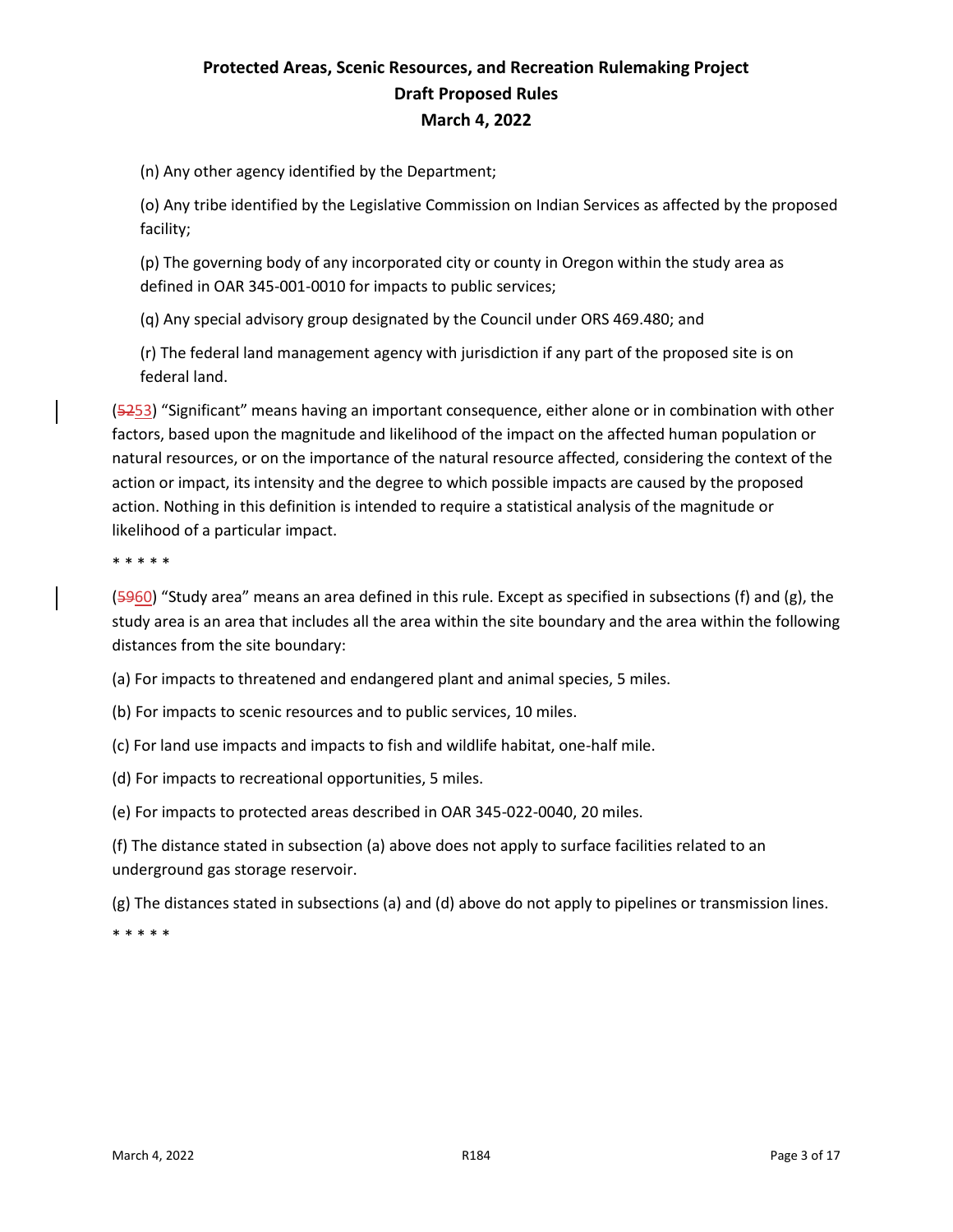(n) Any other agency identified by the Department;

(o) Any tribe identified by the Legislative Commission on Indian Services as affected by the proposed facility;

(p) The governing body of any incorporated city or county in Oregon within the study area as defined in OAR 345-001-0010 for impacts to public services;

(q) Any special advisory group designated by the Council under ORS 469.480; and

(r) The federal land management agency with jurisdiction if any part of the proposed site is on federal land.

(5253) "Significant" means having an important consequence, either alone or in combination with other factors, based upon the magnitude and likelihood of the impact on the affected human population or natural resources, or on the importance of the natural resource affected, considering the context of the action or impact, its intensity and the degree to which possible impacts are caused by the proposed action. Nothing in this definition is intended to require a statistical analysis of the magnitude or likelihood of a particular impact.

\* \* \* \* \*

(5960) "Study area" means an area defined in this rule. Except as specified in subsections (f) and (g), the study area is an area that includes all the area within the site boundary and the area within the following distances from the site boundary:

(a) For impacts to threatened and endangered plant and animal species, 5 miles.

(b) For impacts to scenic resources and to public services, 10 miles.

(c) For land use impacts and impacts to fish and wildlife habitat, one-half mile.

(d) For impacts to recreational opportunities, 5 miles.

(e) For impacts to protected areas described in OAR 345-022-0040, 20 miles.

(f) The distance stated in subsection (a) above does not apply to surface facilities related to an underground gas storage reservoir.

(g) The distances stated in subsections (a) and (d) above do not apply to pipelines or transmission lines.

\* \* \* \* \*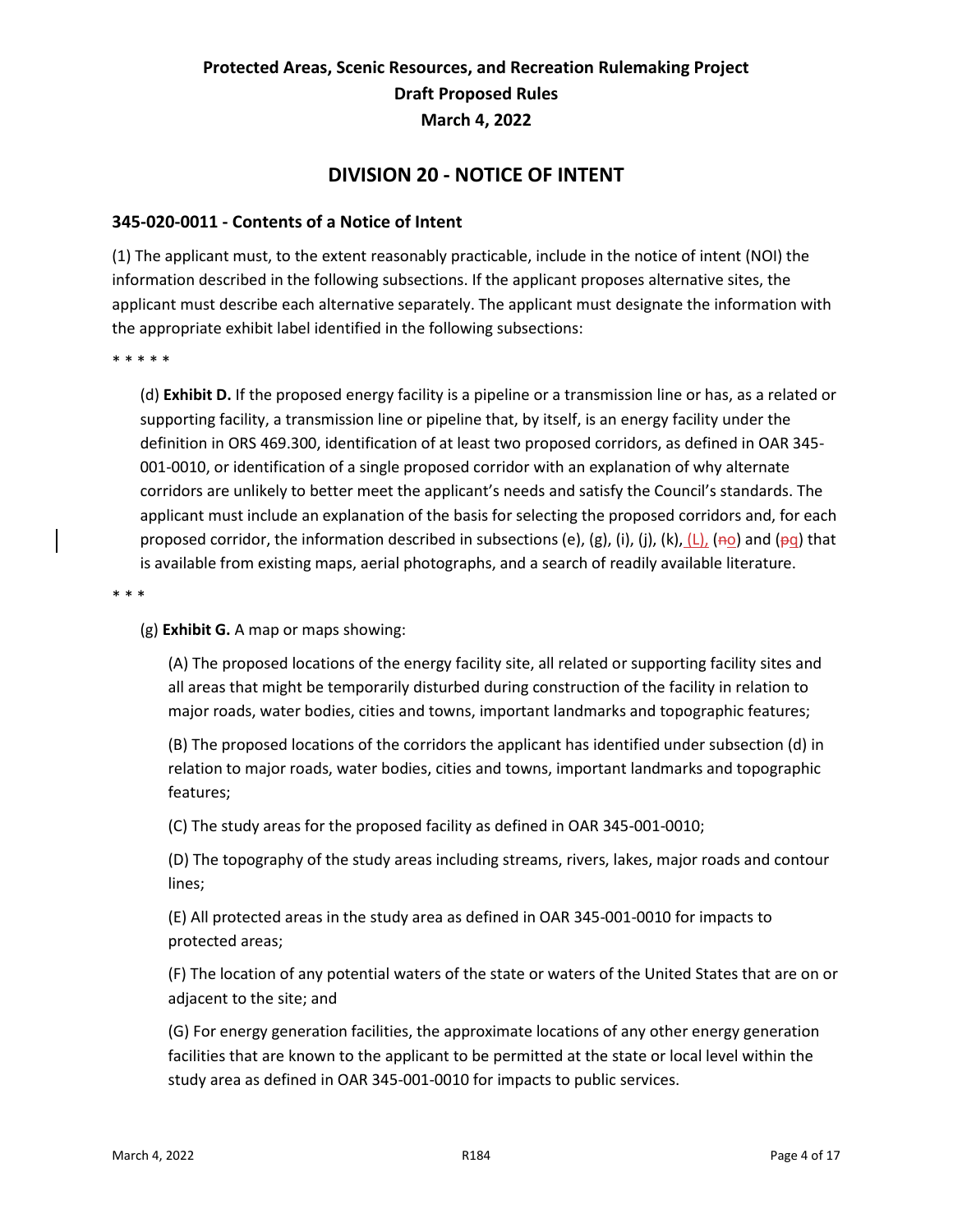#### **DIVISION 20 - NOTICE OF INTENT**

#### <span id="page-4-1"></span><span id="page-4-0"></span>**345-020-0011 - Contents of a Notice of Intent**

(1) The applicant must, to the extent reasonably practicable, include in the notice of intent (NOI) the information described in the following subsections. If the applicant proposes alternative sites, the applicant must describe each alternative separately. The applicant must designate the information with the appropriate exhibit label identified in the following subsections:

\* \* \* \* \*

(d) **Exhibit D.** If the proposed energy facility is a pipeline or a transmission line or has, as a related or supporting facility, a transmission line or pipeline that, by itself, is an energy facility under the definition in ORS 469.300, identification of at least two proposed corridors, as defined in OAR 345- 001-0010, or identification of a single proposed corridor with an explanation of why alternate corridors are unlikely to better meet the applicant's needs and satisfy the Council's standards. The applicant must include an explanation of the basis for selecting the proposed corridors and, for each proposed corridor, the information described in subsections (e), (g), (i), (j), (k),  $(L)$ , (no) and (pq) that is available from existing maps, aerial photographs, and a search of readily available literature.

\* \* \*

(g) **Exhibit G.** A map or maps showing:

(A) The proposed locations of the energy facility site, all related or supporting facility sites and all areas that might be temporarily disturbed during construction of the facility in relation to major roads, water bodies, cities and towns, important landmarks and topographic features;

(B) The proposed locations of the corridors the applicant has identified under subsection (d) in relation to major roads, water bodies, cities and towns, important landmarks and topographic features;

(C) The study areas for the proposed facility as defined in OAR 345-001-0010;

(D) The topography of the study areas including streams, rivers, lakes, major roads and contour lines;

(E) All protected areas in the study area as defined in OAR 345-001-0010 for impacts to protected areas;

(F) The location of any potential waters of the state or waters of the United States that are on or adjacent to the site; and

(G) For energy generation facilities, the approximate locations of any other energy generation facilities that are known to the applicant to be permitted at the state or local level within the study area as defined in OAR 345-001-0010 for impacts to public services.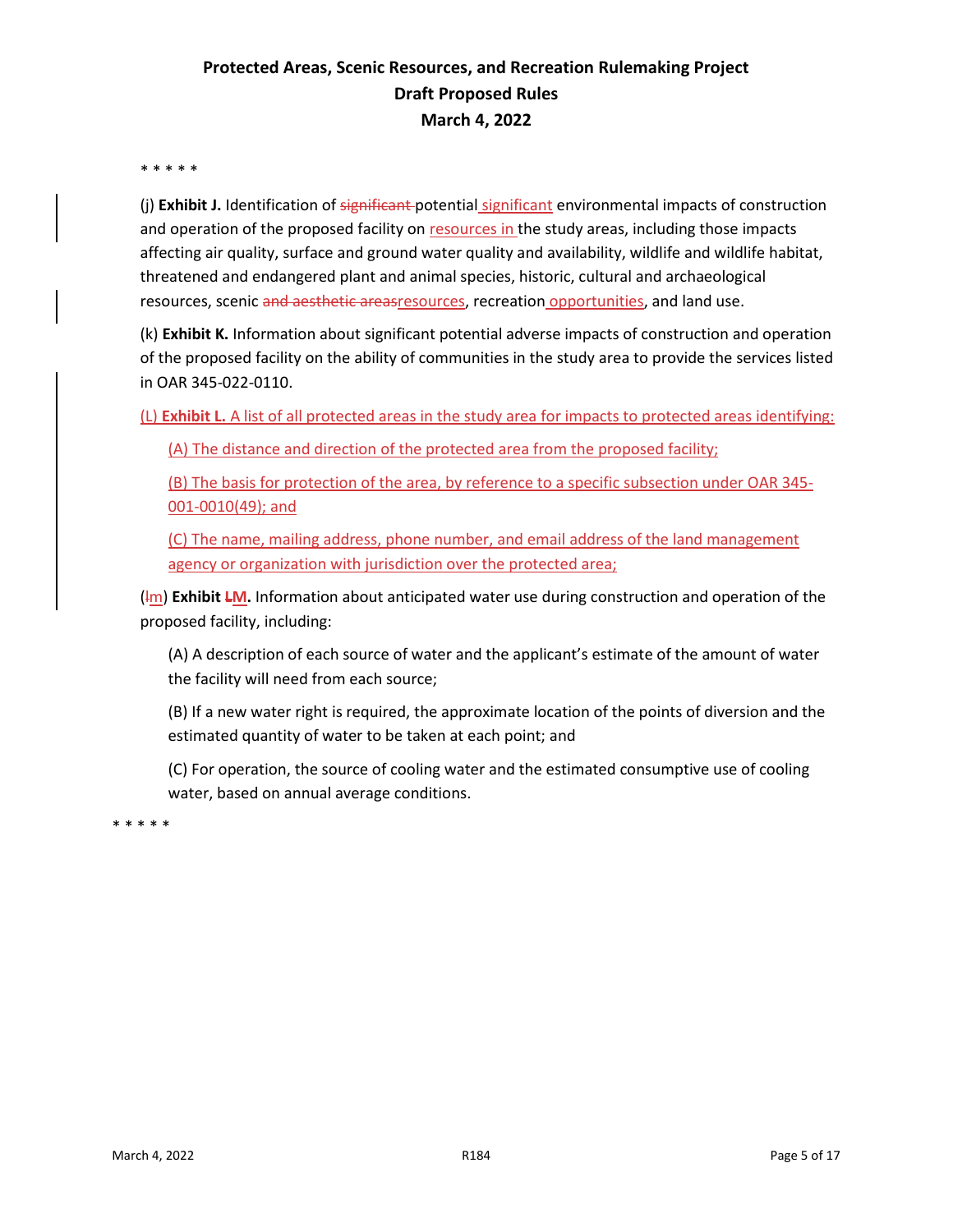#### \* \* \* \* \*

(j) **Exhibit J.** Identification of significant potential significant environmental impacts of construction and operation of the proposed facility on resources in the study areas, including those impacts affecting air quality, surface and ground water quality and availability, wildlife and wildlife habitat, threatened and endangered plant and animal species, historic, cultural and archaeological resources, scenic and aesthetic areasresources, recreation opportunities, and land use.

(k) **Exhibit K.** Information about significant potential adverse impacts of construction and operation of the proposed facility on the ability of communities in the study area to provide the services listed in OAR 345-022-0110.

(L) **Exhibit L.** A list of all protected areas in the study area for impacts to protected areas identifying:

(A) The distance and direction of the protected area from the proposed facility;

(B) The basis for protection of the area, by reference to a specific subsection under OAR 345- 001-0010(49); and

(C) The name, mailing address, phone number, and email address of the land management agency or organization with jurisdiction over the protected area;

(Im) **Exhibit LM.** Information about anticipated water use during construction and operation of the proposed facility, including:

(A) A description of each source of water and the applicant's estimate of the amount of water the facility will need from each source;

(B) If a new water right is required, the approximate location of the points of diversion and the estimated quantity of water to be taken at each point; and

(C) For operation, the source of cooling water and the estimated consumptive use of cooling water, based on annual average conditions.

\* \* \* \* \*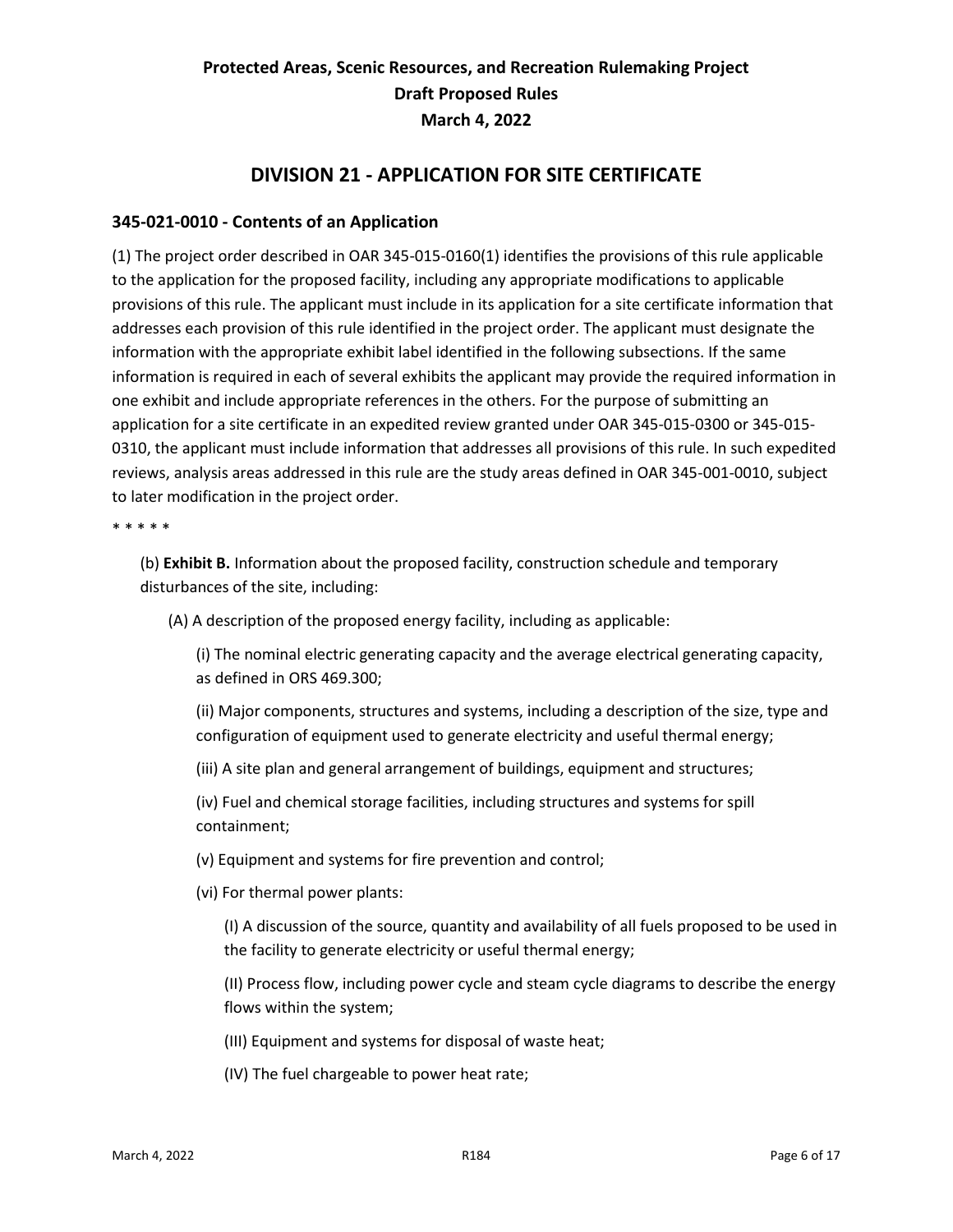#### **DIVISION 21 - APPLICATION FOR SITE CERTIFICATE**

#### <span id="page-6-1"></span><span id="page-6-0"></span>**345-021-0010 - Contents of an Application**

(1) The project order described in OAR 345-015-0160(1) identifies the provisions of this rule applicable to the application for the proposed facility, including any appropriate modifications to applicable provisions of this rule. The applicant must include in its application for a site certificate information that addresses each provision of this rule identified in the project order. The applicant must designate the information with the appropriate exhibit label identified in the following subsections. If the same information is required in each of several exhibits the applicant may provide the required information in one exhibit and include appropriate references in the others. For the purpose of submitting an application for a site certificate in an expedited review granted under OAR 345-015-0300 or 345-015- 0310, the applicant must include information that addresses all provisions of this rule. In such expedited reviews, analysis areas addressed in this rule are the study areas defined in OAR 345-001-0010, subject to later modification in the project order.

#### \* \* \* \* \*

(b) **Exhibit B.** Information about the proposed facility, construction schedule and temporary disturbances of the site, including:

(A) A description of the proposed energy facility, including as applicable:

(i) The nominal electric generating capacity and the average electrical generating capacity, as defined in ORS 469.300;

(ii) Major components, structures and systems, including a description of the size, type and configuration of equipment used to generate electricity and useful thermal energy;

(iii) A site plan and general arrangement of buildings, equipment and structures;

(iv) Fuel and chemical storage facilities, including structures and systems for spill containment;

- (v) Equipment and systems for fire prevention and control;
- (vi) For thermal power plants:

(I) A discussion of the source, quantity and availability of all fuels proposed to be used in the facility to generate electricity or useful thermal energy;

(II) Process flow, including power cycle and steam cycle diagrams to describe the energy flows within the system;

(III) Equipment and systems for disposal of waste heat;

(IV) The fuel chargeable to power heat rate;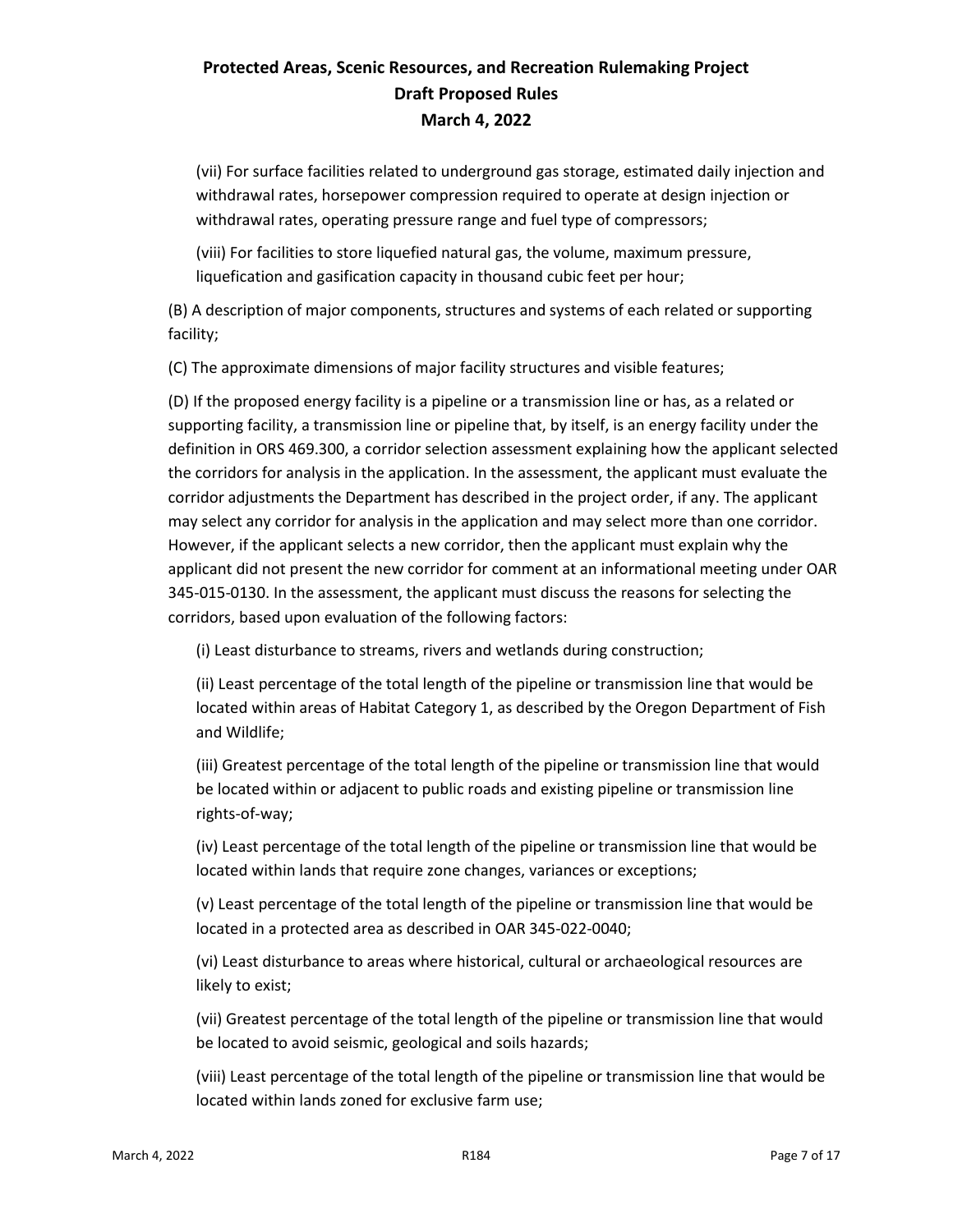(vii) For surface facilities related to underground gas storage, estimated daily injection and withdrawal rates, horsepower compression required to operate at design injection or withdrawal rates, operating pressure range and fuel type of compressors;

(viii) For facilities to store liquefied natural gas, the volume, maximum pressure, liquefication and gasification capacity in thousand cubic feet per hour;

(B) A description of major components, structures and systems of each related or supporting facility;

(C) The approximate dimensions of major facility structures and visible features;

(D) If the proposed energy facility is a pipeline or a transmission line or has, as a related or supporting facility, a transmission line or pipeline that, by itself, is an energy facility under the definition in ORS 469.300, a corridor selection assessment explaining how the applicant selected the corridors for analysis in the application. In the assessment, the applicant must evaluate the corridor adjustments the Department has described in the project order, if any. The applicant may select any corridor for analysis in the application and may select more than one corridor. However, if the applicant selects a new corridor, then the applicant must explain why the applicant did not present the new corridor for comment at an informational meeting under OAR 345-015-0130. In the assessment, the applicant must discuss the reasons for selecting the corridors, based upon evaluation of the following factors:

(i) Least disturbance to streams, rivers and wetlands during construction;

(ii) Least percentage of the total length of the pipeline or transmission line that would be located within areas of Habitat Category 1, as described by the Oregon Department of Fish and Wildlife;

(iii) Greatest percentage of the total length of the pipeline or transmission line that would be located within or adjacent to public roads and existing pipeline or transmission line rights-of-way;

(iv) Least percentage of the total length of the pipeline or transmission line that would be located within lands that require zone changes, variances or exceptions;

(v) Least percentage of the total length of the pipeline or transmission line that would be located in a protected area as described in OAR 345-022-0040;

(vi) Least disturbance to areas where historical, cultural or archaeological resources are likely to exist;

(vii) Greatest percentage of the total length of the pipeline or transmission line that would be located to avoid seismic, geological and soils hazards;

(viii) Least percentage of the total length of the pipeline or transmission line that would be located within lands zoned for exclusive farm use;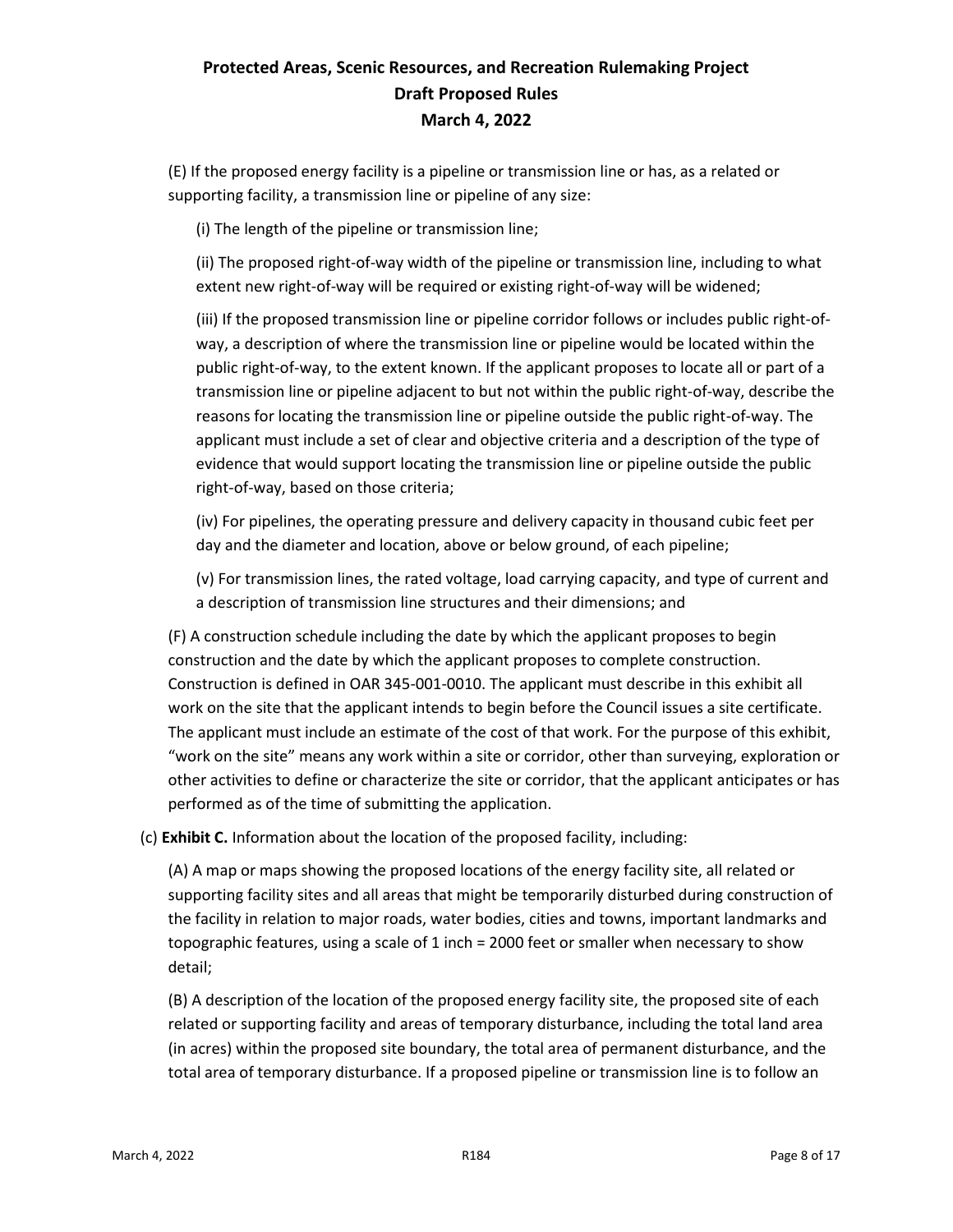(E) If the proposed energy facility is a pipeline or transmission line or has, as a related or supporting facility, a transmission line or pipeline of any size:

(i) The length of the pipeline or transmission line;

(ii) The proposed right-of-way width of the pipeline or transmission line, including to what extent new right-of-way will be required or existing right-of-way will be widened;

(iii) If the proposed transmission line or pipeline corridor follows or includes public right-ofway, a description of where the transmission line or pipeline would be located within the public right-of-way, to the extent known. If the applicant proposes to locate all or part of a transmission line or pipeline adjacent to but not within the public right-of-way, describe the reasons for locating the transmission line or pipeline outside the public right-of-way. The applicant must include a set of clear and objective criteria and a description of the type of evidence that would support locating the transmission line or pipeline outside the public right-of-way, based on those criteria;

(iv) For pipelines, the operating pressure and delivery capacity in thousand cubic feet per day and the diameter and location, above or below ground, of each pipeline;

(v) For transmission lines, the rated voltage, load carrying capacity, and type of current and a description of transmission line structures and their dimensions; and

(F) A construction schedule including the date by which the applicant proposes to begin construction and the date by which the applicant proposes to complete construction. Construction is defined in OAR 345-001-0010. The applicant must describe in this exhibit all work on the site that the applicant intends to begin before the Council issues a site certificate. The applicant must include an estimate of the cost of that work. For the purpose of this exhibit, "work on the site" means any work within a site or corridor, other than surveying, exploration or other activities to define or characterize the site or corridor, that the applicant anticipates or has performed as of the time of submitting the application.

(c) **Exhibit C.** Information about the location of the proposed facility, including:

(A) A map or maps showing the proposed locations of the energy facility site, all related or supporting facility sites and all areas that might be temporarily disturbed during construction of the facility in relation to major roads, water bodies, cities and towns, important landmarks and topographic features, using a scale of 1 inch = 2000 feet or smaller when necessary to show detail;

(B) A description of the location of the proposed energy facility site, the proposed site of each related or supporting facility and areas of temporary disturbance, including the total land area (in acres) within the proposed site boundary, the total area of permanent disturbance, and the total area of temporary disturbance. If a proposed pipeline or transmission line is to follow an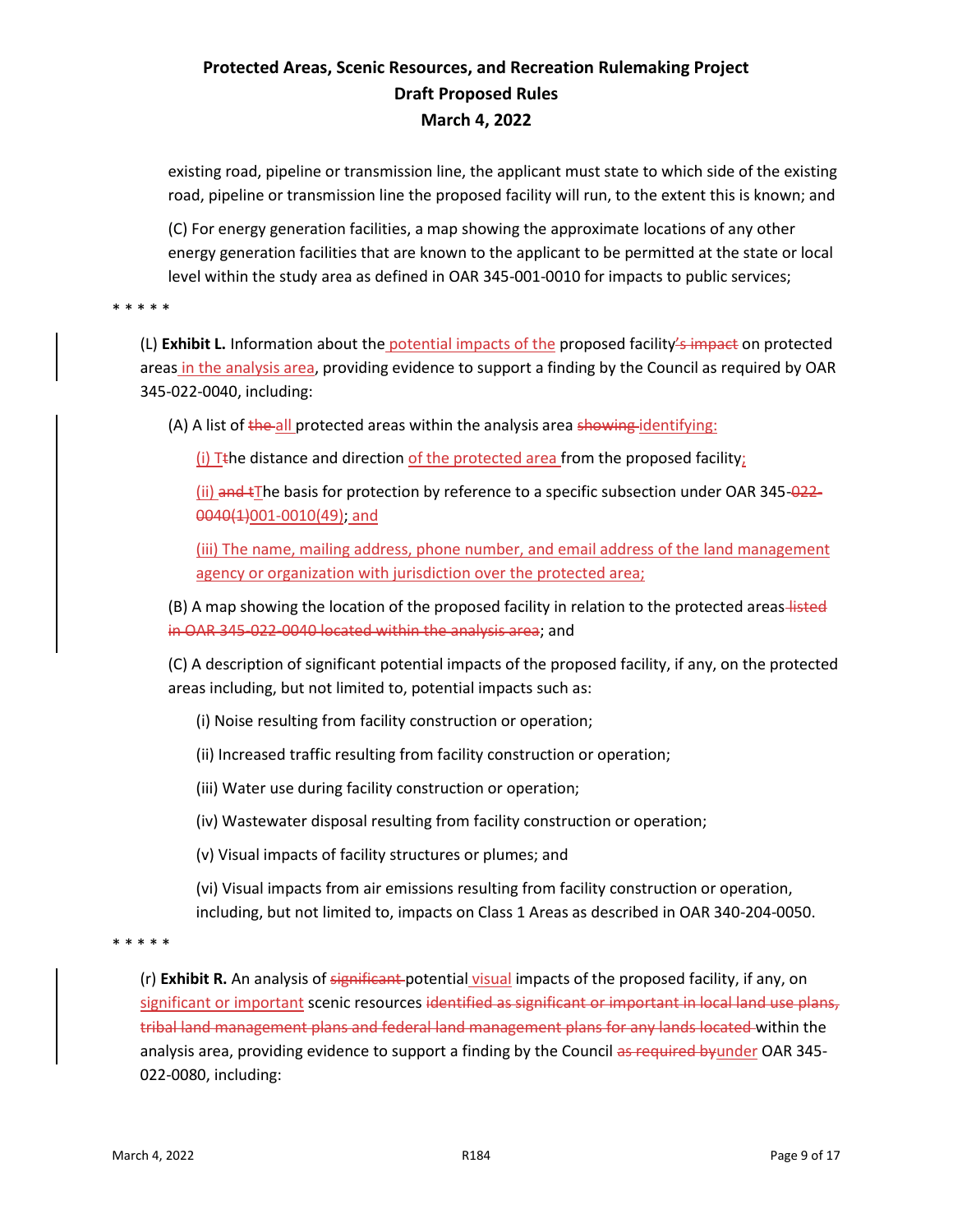existing road, pipeline or transmission line, the applicant must state to which side of the existing road, pipeline or transmission line the proposed facility will run, to the extent this is known; and

(C) For energy generation facilities, a map showing the approximate locations of any other energy generation facilities that are known to the applicant to be permitted at the state or local level within the study area as defined in OAR 345-001-0010 for impacts to public services;

\* \* \* \* \*

(L) Exhibit L. Information about the **potential impacts of the proposed facility's impact** on protected areas in the analysis area, providing evidence to support a finding by the Council as required by OAR 345-022-0040, including:

(A) A list of the all protected areas within the analysis area showing identifying:

(i) T<sub>the</sub> distance and direction of the protected area from the proposed facility;

(ii) and  $t$ The basis for protection by reference to a specific subsection under OAR 345-022-0040(1)001-0010(49); and

(iii) The name, mailing address, phone number, and email address of the land management agency or organization with jurisdiction over the protected area;

(B) A map showing the location of the proposed facility in relation to the protected areas-listed in OAR 345-022-0040 located within the analysis area; and

(C) A description of significant potential impacts of the proposed facility, if any, on the protected areas including, but not limited to, potential impacts such as:

(i) Noise resulting from facility construction or operation;

- (ii) Increased traffic resulting from facility construction or operation;
- (iii) Water use during facility construction or operation;
- (iv) Wastewater disposal resulting from facility construction or operation;
- (v) Visual impacts of facility structures or plumes; and

(vi) Visual impacts from air emissions resulting from facility construction or operation, including, but not limited to, impacts on Class 1 Areas as described in OAR 340-204-0050.

\* \* \* \* \*

(r) Exhibit R. An analysis of significant potential visual impacts of the proposed facility, if any, on significant or important scenic resources identified as significant or important in local land use plans, tribal land management plans and federal land management plans for any lands located within the analysis area, providing evidence to support a finding by the Council as required by under OAR 345-022-0080, including: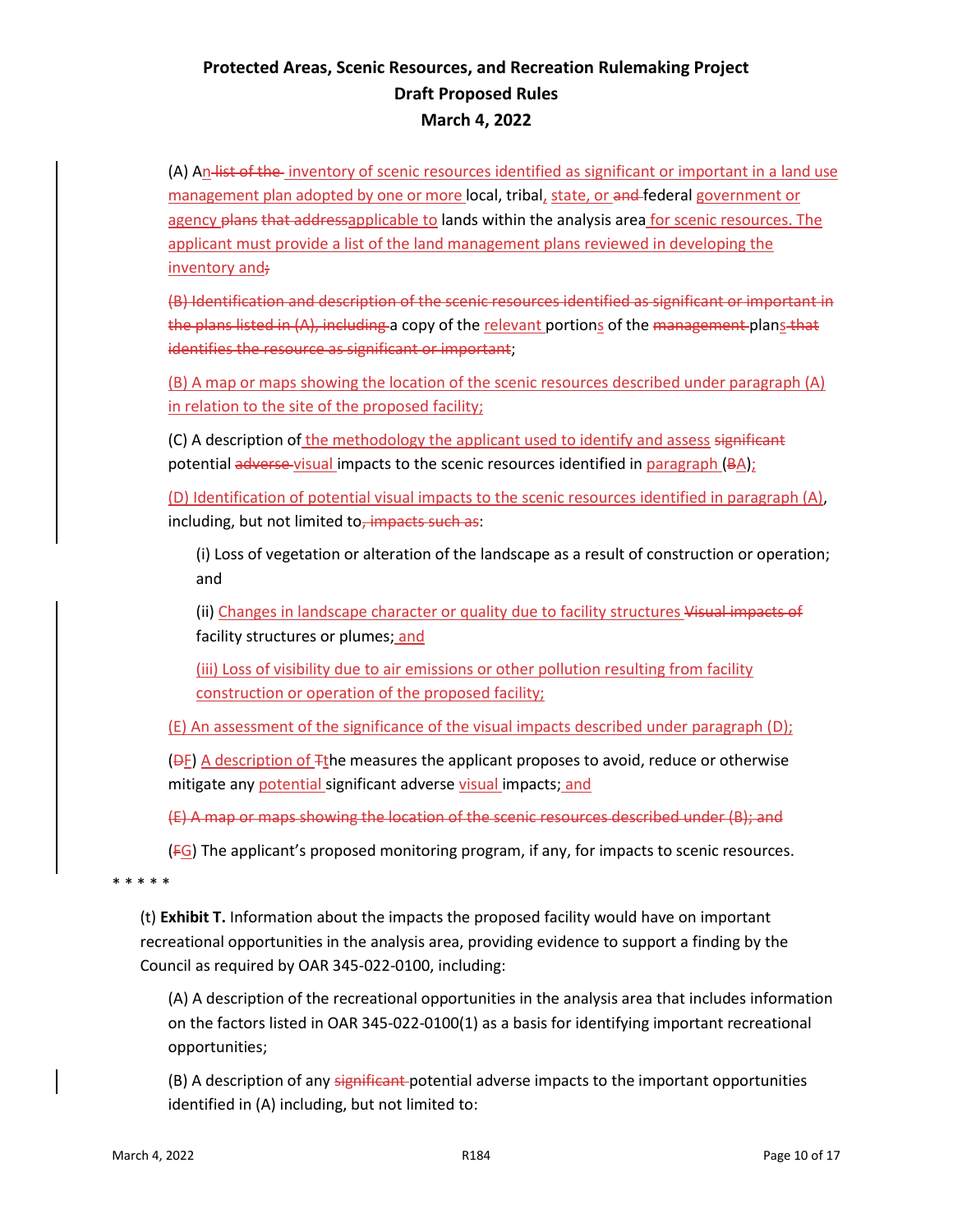(A) An list of the inventory of scenic resources identified as significant or important in a land use management plan adopted by one or more local, tribal, state, or and federal government or agency plans that addressapplicable to lands within the analysis area for scenic resources. The applicant must provide a list of the land management plans reviewed in developing the inventory and;

(B) Identification and description of the scenic resources identified as significant or important in the plans listed in (A), including a copy of the relevant portions of the management-plans that identifies the resource as significant or important;

(B) A map or maps showing the location of the scenic resources described under paragraph (A) in relation to the site of the proposed facility;

(C) A description of the methodology the applicant used to identify and assess significant potential adverse visual impacts to the scenic resources identified in paragraph (BA);

(D) Identification of potential visual impacts to the scenic resources identified in paragraph (A), including, but not limited to, impacts such as:

(i) Loss of vegetation or alteration of the landscape as a result of construction or operation; and

(ii) Changes in landscape character or quality due to facility structures Visual impacts of facility structures or plumes; and

(iii) Loss of visibility due to air emissions or other pollution resulting from facility construction or operation of the proposed facility;

(E) An assessment of the significance of the visual impacts described under paragraph (D);

 $(BF)$  A description of  $F$ the measures the applicant proposes to avoid, reduce or otherwise mitigate any potential significant adverse visual impacts; and

(E) A map or maps showing the location of the scenic resources described under (B); and

 $(FG)$  The applicant's proposed monitoring program, if any, for impacts to scenic resources.

\* \* \* \* \*

(t) **Exhibit T.** Information about the impacts the proposed facility would have on important recreational opportunities in the analysis area, providing evidence to support a finding by the Council as required by OAR 345-022-0100, including:

(A) A description of the recreational opportunities in the analysis area that includes information on the factors listed in OAR 345-022-0100(1) as a basis for identifying important recreational opportunities;

(B) A description of any significant potential adverse impacts to the important opportunities identified in (A) including, but not limited to: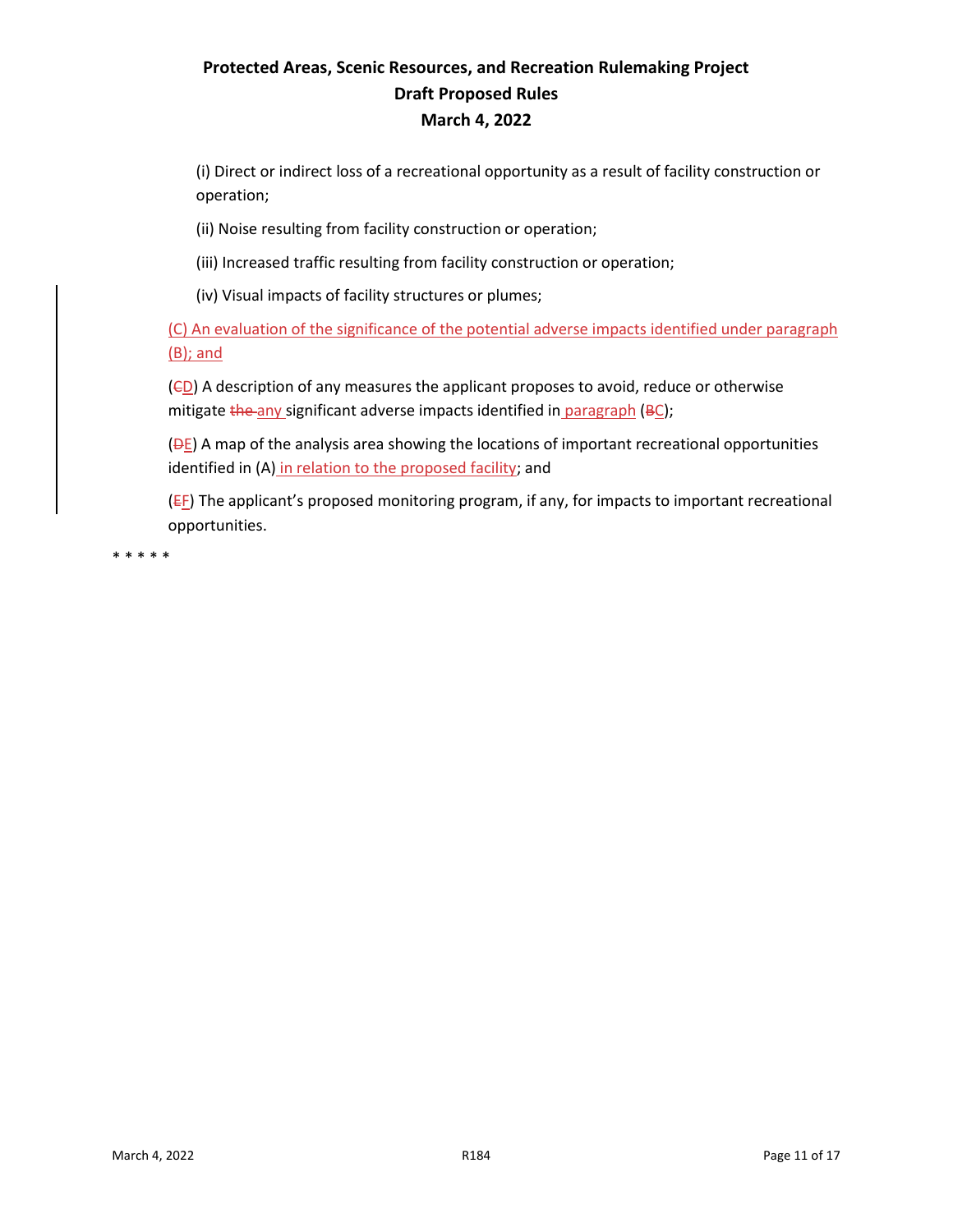(i) Direct or indirect loss of a recreational opportunity as a result of facility construction or operation;

(ii) Noise resulting from facility construction or operation;

(iii) Increased traffic resulting from facility construction or operation;

(iv) Visual impacts of facility structures or plumes;

(C) An evaluation of the significance of the potential adverse impacts identified under paragraph (B); and

 $(ED)$  A description of any measures the applicant proposes to avoid, reduce or otherwise mitigate the any significant adverse impacts identified in paragraph (BC);

 $(\overline{DE})$  A map of the analysis area showing the locations of important recreational opportunities identified in (A) in relation to the proposed facility; and

 $E$ ) The applicant's proposed monitoring program, if any, for impacts to important recreational opportunities.

\* \* \* \* \*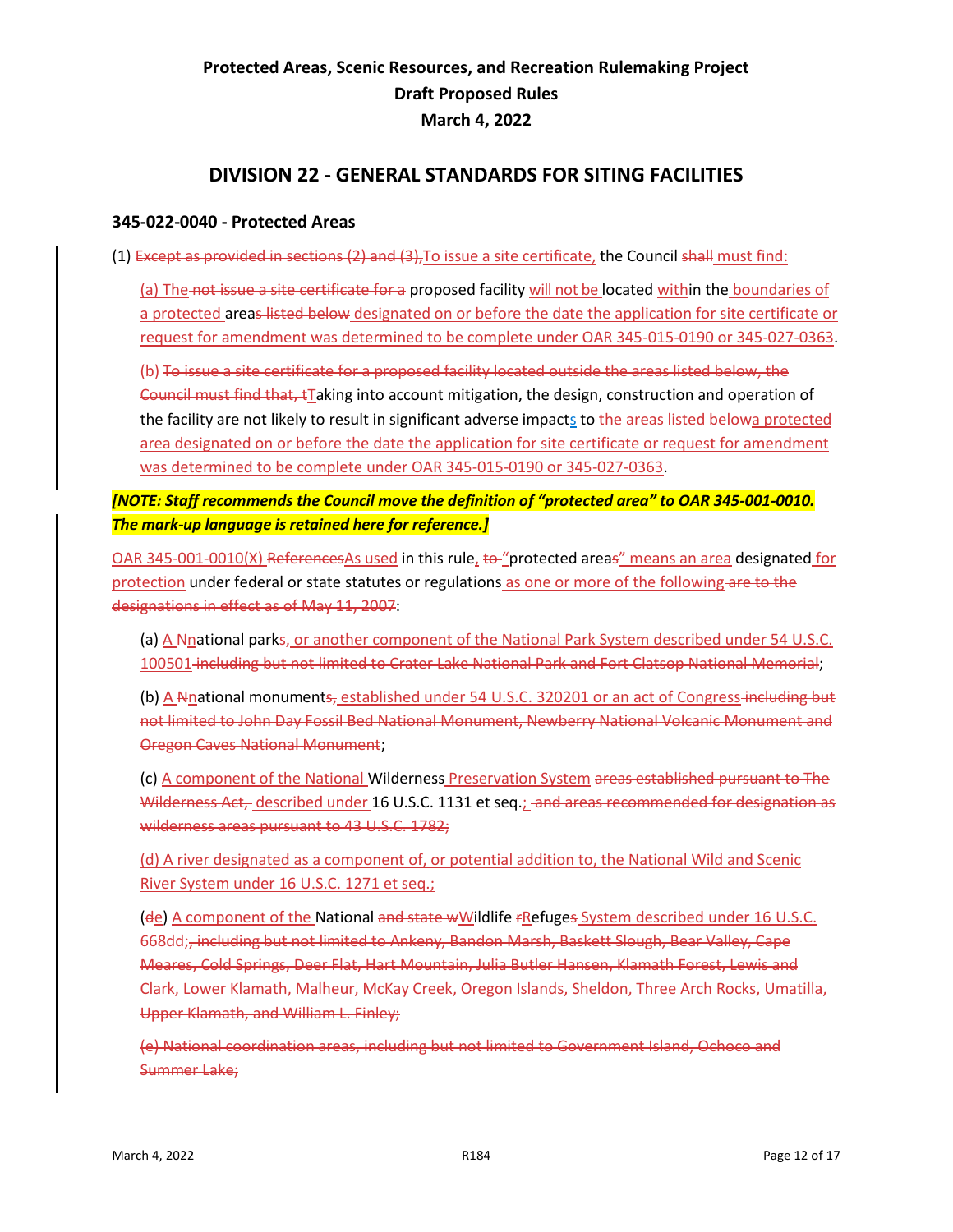#### **DIVISION 22 - GENERAL STANDARDS FOR SITING FACILITIES**

#### <span id="page-12-1"></span><span id="page-12-0"></span>**345-022-0040 - Protected Areas**

(1) Except as provided in sections (2) and (3),To issue a site certificate, the Council shall must find:

(a) The not issue a site certificate for a proposed facility will not be located within the boundaries of a protected areas listed below designated on or before the date the application for site certificate or request for amendment was determined to be complete under OAR 345-015-0190 or 345-027-0363.

(b) To issue a site certificate for a proposed facility located outside the areas listed below, the Council must find that, tTaking into account mitigation, the design, construction and operation of the facility are not likely to result in significant adverse impacts to the areas listed belowa protected area designated on or before the date the application for site certificate or request for amendment was determined to be complete under OAR 345-015-0190 or 345-027-0363.

#### *[NOTE: Staff recommends the Council move the definition of "protected area" to OAR 345-001-0010. The mark-up language is retained here for reference.]*

OAR 345-001-0010(X) ReferencesAs used in this rule, to "protected areas" means an area designated for protection under federal or state statutes or regulations as one or more of the following are to the designations in effect as of May 11, 2007:

(a) A Nnational parks<sub>r</sub> or another component of the National Park System described under 54 U.S.C. 100501 including but not limited to Crater Lake National Park and Fort Clatsop National Memorial;

(b) A Nnational monuments, established under 54 U.S.C. 320201 or an act of Congress-including but not limited to John Day Fossil Bed National Monument, Newberry National Volcanic Monument and Oregon Caves National Monument;

(c) A component of the National Wilderness Preservation System areas established pursuant to The Wilderness Act, described under 16 U.S.C. 1131 et seq.; and areas recommended for designation as wilderness areas pursuant to 43 U.S.C. 1782;

(d) A river designated as a component of, or potential addition to, the National Wild and Scenic River System under 16 U.S.C. 1271 et seq.;

(de) A component of the National and state wWildlife FRefuges System described under 16 U.S.C. 668dd;, including but not limited to Ankeny, Bandon Marsh, Baskett Slough, Bear Valley, Cape Meares, Cold Springs, Deer Flat, Hart Mountain, Julia Butler Hansen, Klamath Forest, Lewis and Clark, Lower Klamath, Malheur, McKay Creek, Oregon Islands, Sheldon, Three Arch Rocks, Umatilla, Upper Klamath, and William L. Finley;

(e) National coordination areas, including but not limited to Government Island, Ochoco and Summer Lake;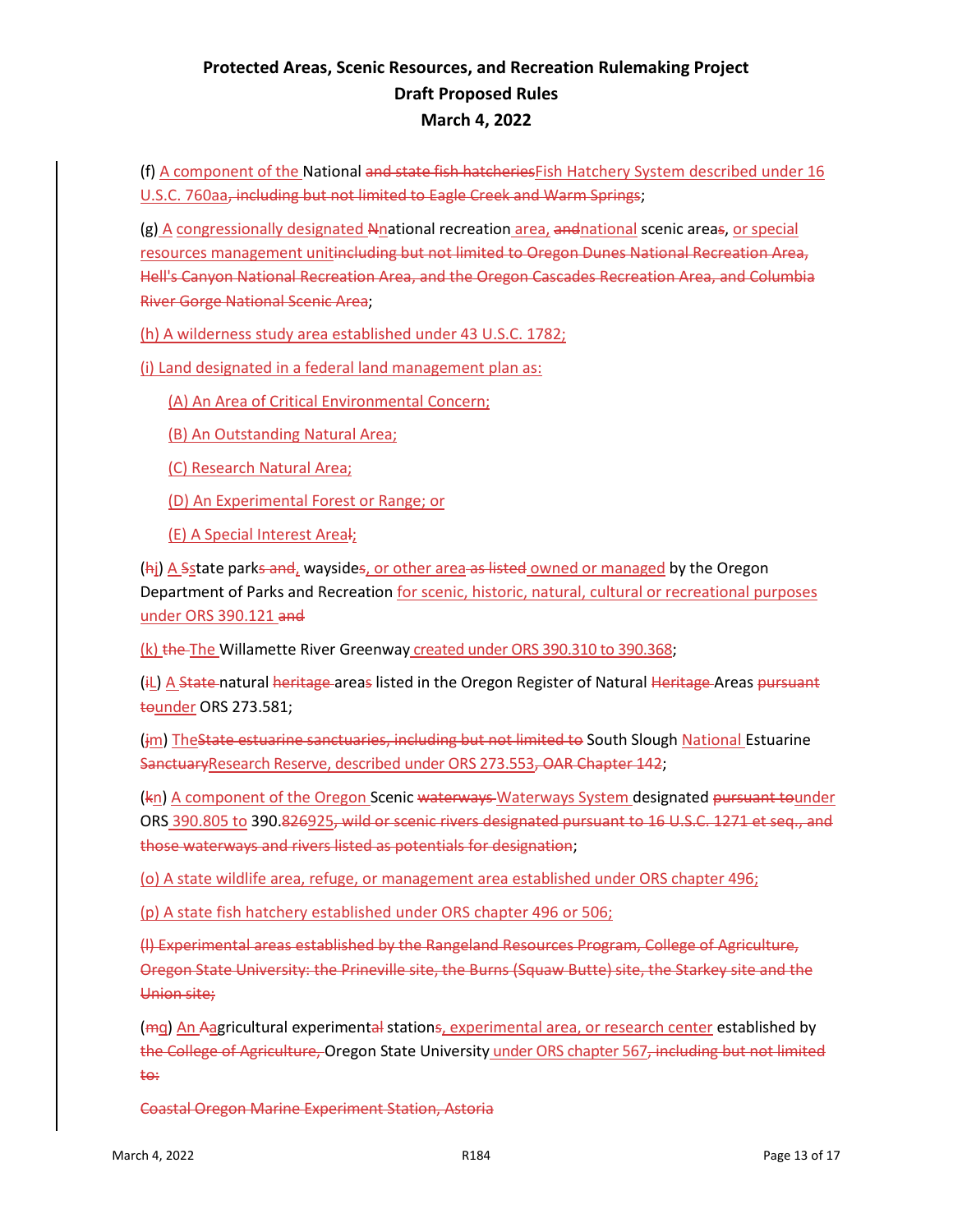(f) A component of the National and state fish hatcheriesFish Hatchery System described under 16 U.S.C. 760aa, including but not limited to Eagle Creek and Warm Springs;

(g) A congressionally designated Nnational recreation area, andnational scenic areas, or special resources management unitincluding but not limited to Oregon Dunes National Recreation Area, Hell's Canyon National Recreation Area, and the Oregon Cascades Recreation Area, and Columbia River Gorge National Scenic Area;

(h) A wilderness study area established under 43 U.S.C. 1782;

(i) Land designated in a federal land management plan as:

(A) An Area of Critical Environmental Concern;

(B) An Outstanding Natural Area;

(C) Research Natural Area;

(D) An Experimental Forest or Range; or

(E) A Special Interest Areal;

(hi) A Sstate parks and, waysides, or other area as listed owned or managed by the Oregon Department of Parks and Recreation for scenic, historic, natural, cultural or recreational purposes under ORS 390.121 and

(k) the The Willamette River Greenway created under ORS 390.310 to 390.368;

(iL) A State natural heritage areas listed in the Oregon Register of Natural Heritage Areas pursuant tounder ORS 273.581;

(im) TheState estuarine sanctuaries, including but not limited to South Slough National Estuarine SanctuaryResearch Reserve, described under ORS 273.553, OAR Chapter 142;

(kn) A component of the Oregon Scenic waterways Waterways System designated pursuant tounder ORS 390.805 to 390.826925, wild or scenic rivers designated pursuant to 16 U.S.C. 1271 et seq., and those waterways and rivers listed as potentials for designation;

(o) A state wildlife area, refuge, or management area established under ORS chapter 496;

(p) A state fish hatchery established under ORS chapter 496 or 506;

(l) Experimental areas established by the Rangeland Resources Program, College of Agriculture, Oregon State University: the Prineville site, the Burns (Squaw Butte) site, the Starkey site and the Union site;

(<del>m</del>g) An Aagricultural experimental stations, experimental area, or research center established by the College of Agriculture, Oregon State University under ORS chapter 567, including but not limited to:

Coastal Oregon Marine Experiment Station, Astoria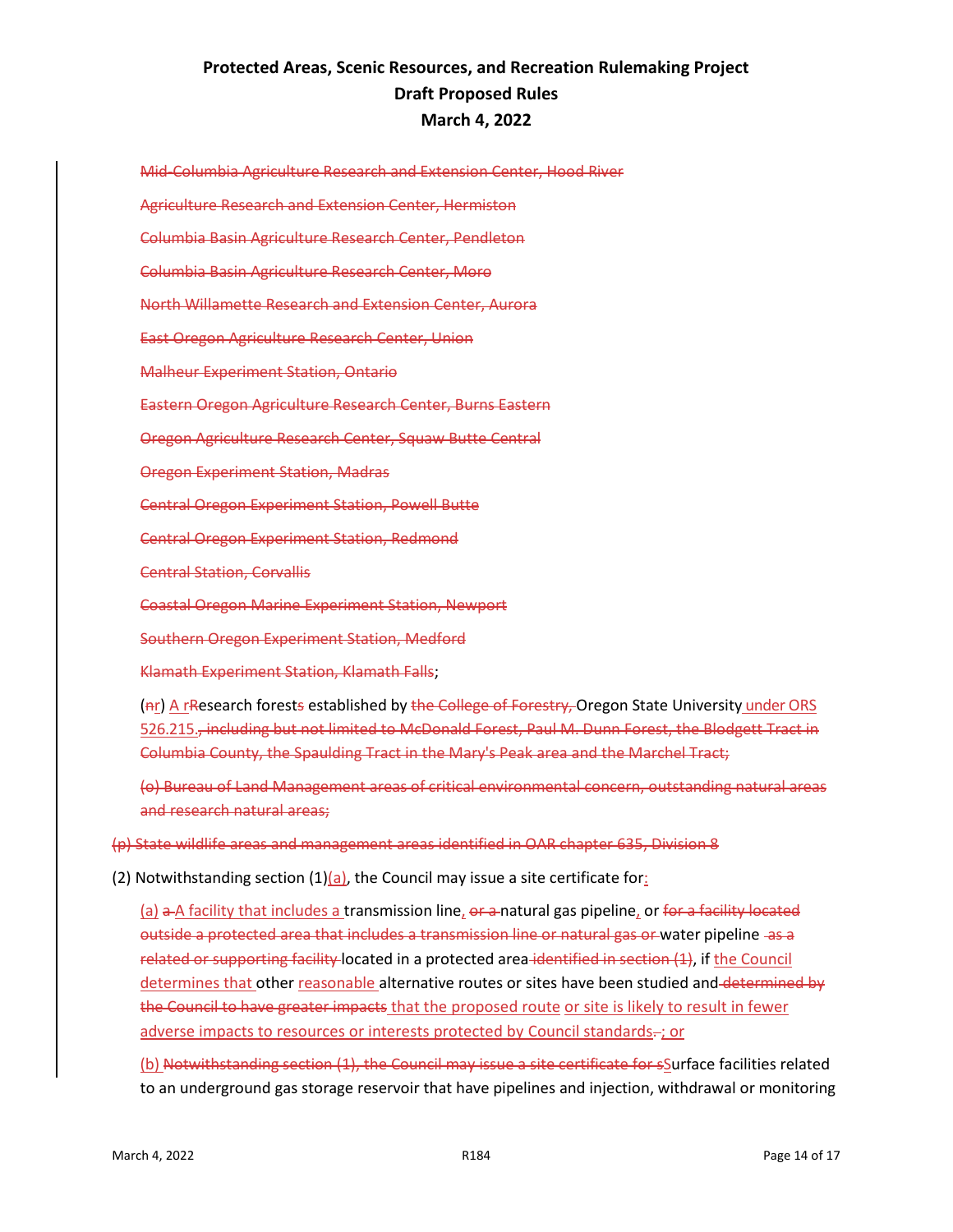Mid-Columbia Agriculture Research and Extension Center, Hood River Agriculture Research and Extension Center, Hermiston Columbia Basin Agriculture Research Center, Pendleton Columbia Basin Agriculture Research Center, Moro North Willamette Research and Extension Center, Aurora East Oregon Agriculture Research Center, Union Malheur Experiment Station, Ontario Eastern Oregon Agriculture Research Center, Burns Eastern Oregon Agriculture Research Center, Squaw Butte Central Oregon Experiment Station, Madras Central Oregon Experiment Station, Powell Butte Central Oregon Experiment Station, Redmond Central Station, Corvallis

Coastal Oregon Marine Experiment Station, Newport

Southern Oregon Experiment Station, Medford

Klamath Experiment Station, Klamath Falls;

(Ar) A rResearch forests established by the College of Forestry, Oregon State University under ORS 526.215., including but not limited to McDonald Forest, Paul M. Dunn Forest, the Blodgett Tract in Columbia County, the Spaulding Tract in the Mary's Peak area and the Marchel Tract;

(o) Bureau of Land Management areas of critical environmental concern, outstanding natural areas and research natural areas;

(p) State wildlife areas and management areas identified in OAR chapter 635, Division 8

(2) Notwithstanding section  $(1)(a)$ , the Council may issue a site certificate for:

(a)  $\overline{a}$  a facility that includes a transmission line,  $\overline{a}$  anatural gas pipeline, or for a facility located outside a protected area that includes a transmission line or natural gas or water pipeline -as a related or supporting facility located in a protected area identified in section (1), if the Council determines that other reasonable alternative routes or sites have been studied and determined by the Council to have greater impacts that the proposed route or site is likely to result in fewer adverse impacts to resources or interests protected by Council standards-; or

(b) Notwithstanding section (1), the Council may issue a site certificate for sSurface facilities related to an underground gas storage reservoir that have pipelines and injection, withdrawal or monitoring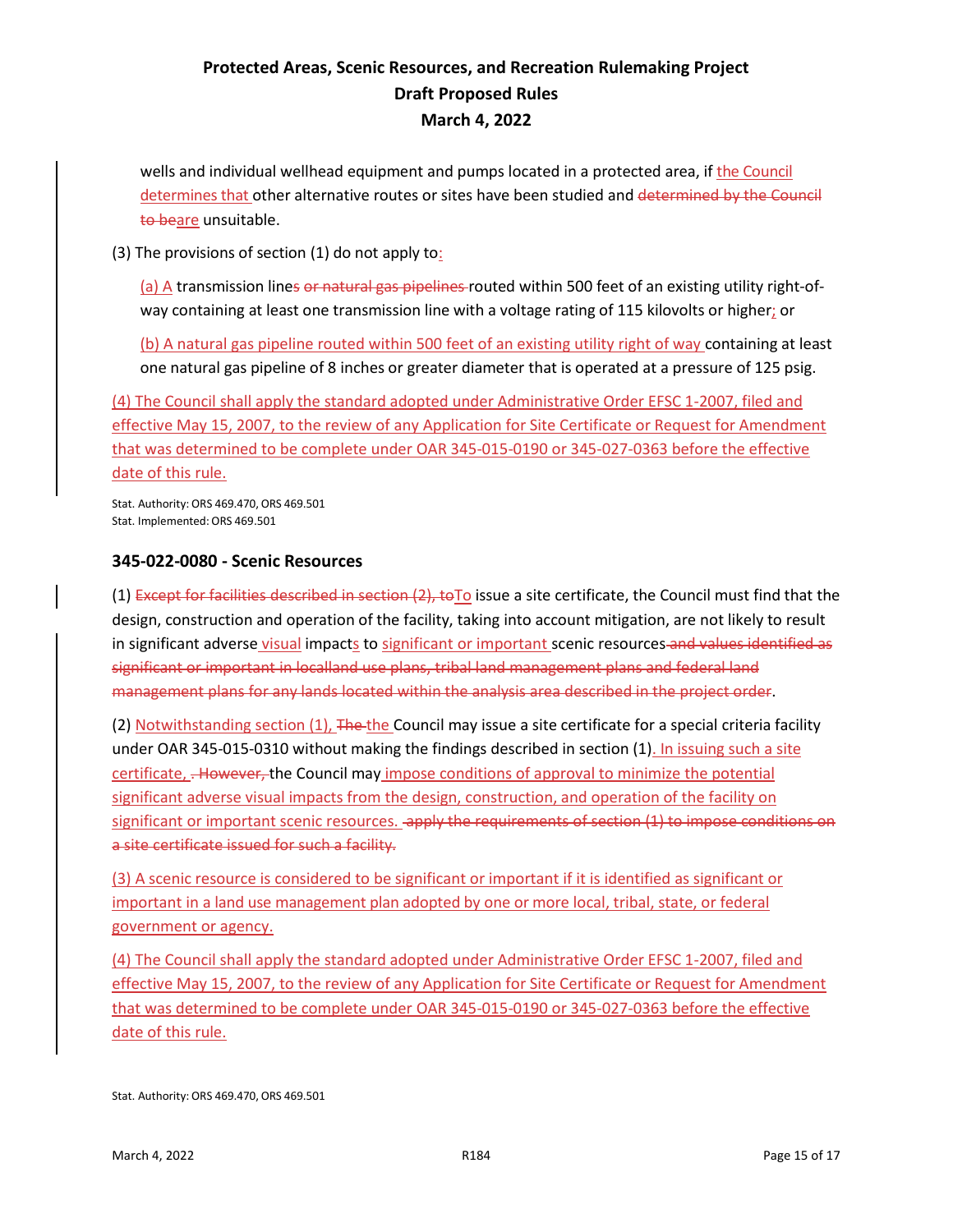wells and individual wellhead equipment and pumps located in a protected area, if the Council determines that other alternative routes or sites have been studied and determined by the Council to beare unsuitable.

(3) The provisions of section (1) do not apply to:

(a) A transmission lines or natural gas pipelines routed within 500 feet of an existing utility right-ofway containing at least one transmission line with a voltage rating of 115 kilovolts or higher; or

(b) A natural gas pipeline routed within 500 feet of an existing utility right of way containing at least one natural gas pipeline of 8 inches or greater diameter that is operated at a pressure of 125 psig.

(4) The Council shall apply the standard adopted under Administrative Order EFSC 1-2007, filed and effective May 15, 2007, to the review of any Application for Site Certificate or Request for Amendment that was determined to be complete under OAR 345-015-0190 or 345-027-0363 before the effective date of this rule.

Stat. Authority: ORS 469.470, ORS 469.501 Stat. Implemented:ORS 469.501

#### <span id="page-15-0"></span>**345-022-0080 - Scenic Resources**

(1) Except for facilities described in section  $(2)$ , to To issue a site certificate, the Council must find that the design, construction and operation of the facility, taking into account mitigation, are not likely to result in significant adverse visual impacts to significant or important scenic resources and values identified as significant or important in localland use plans, tribal land management plans and federal land management plans for any lands located within the analysis area described in the project order.

(2) Notwithstanding section (1), The the Council may issue a site certificate for a special criteria facility under OAR 345-015-0310 without making the findings described in section (1). In issuing such a site certificate, . However, the Council may impose conditions of approval to minimize the potential significant adverse visual impacts from the design, construction, and operation of the facility on significant or important scenic resources. apply the requirements of section (1) to impose conditions on a site certificate issued for such a facility.

(3) A scenic resource is considered to be significant or important if it is identified as significant or important in a land use management plan adopted by one or more local, tribal, state, or federal government or agency.

(4) The Council shall apply the standard adopted under Administrative Order EFSC 1-2007, filed and effective May 15, 2007, to the review of any Application for Site Certificate or Request for Amendment that was determined to be complete under OAR 345-015-0190 or 345-027-0363 before the effective date of this rule.

Stat. Authority: ORS 469.470, ORS 469.501